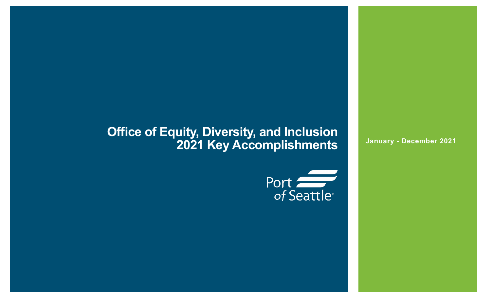## **Office of Equity, Diversity, and Inclusion 2021 Key Accomplishments**



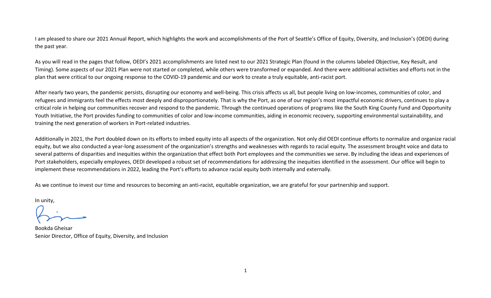I am pleased to share our 2021 Annual Report, which highlights the work and accomplishments of the Port of Seattle's Office of Equity, Diversity, and Inclusion's (OEDI) during the past year.

As you will read in the pages that follow, OEDI's 2021 accomplishments are listed next to our 2021 Strategic Plan (found in the columns labeled Objective, Key Result, and Timing). Some aspects of our 2021 Plan were not started or completed, while others were transformed or expanded. And there were additional activities and efforts not in the plan that were critical to our ongoing response to the COVID-19 pandemic and our work to create a truly equitable, anti-racist port.

After nearly two years, the pandemic persists, disrupting our economy and well-being. This crisis affects us all, but people living on low-incomes, communities of color, and refugees and immigrants feel the effects most deeply and disproportionately. That is why the Port, as one of our region's most impactful economic drivers, continues to play a critical role in helping our communities recover and respond to the pandemic. Through the continued operations of programs like the South King County Fund and Opportunity Youth Initiative, the Port provides funding to communities of color and low-income communities, aiding in economic recovery, supporting environmental sustainability, and training the next generation of workers in Port-related industries.

Additionally in 2021, the Port doubled down on its efforts to imbed equity into all aspects of the organization. Not only did OEDI continue efforts to normalize and organize racial equity, but we also conducted a year-long assessment of the organization's strengths and weaknesses with regards to racial equity. The assessment brought voice and data to several patterns of disparities and inequities within the organization that effect both Port employees and the communities we serve. By including the ideas and experiences of Port stakeholders, especially employees, OEDI developed a robust set of recommendations for addressing the inequities identified in the assessment. Our office will begin to implement these recommendations in 2022, leading the Port's efforts to advance racial equity both internally and externally.

As we continue to invest our time and resources to becoming an anti-racist, equitable organization, we are grateful for your partnership and support.

In unity,

Bookda Gheisar Senior Director, Office of Equity, Diversity, and Inclusion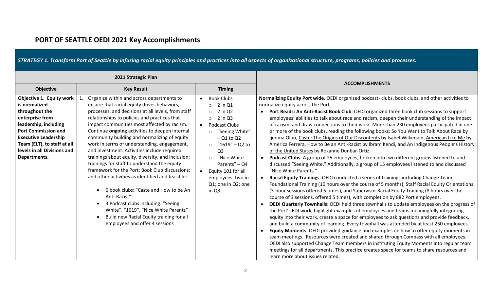|                                                                                                                                                                                                                                                    | 2021 Strategic Plan                                                                                                                                                                                                                                                                                                                                                                                                                                                                                                                                                                                                                                                                                                                                                                                                                                                                        |                                                                                                                                                                                                                                                                                                                                                          |                                                                                                                                                                                                                                                                                                                                                                                                                                                                                                                                                                                                                                                                                                                                                                                                                                                                                                                                                                                                                                                                                                                                                                                                                                                                                                                                                                                                                                                                                                                                                                                                                                                                                                                                                                                                                                                                                                                                                                                                                                                                                                                                                                                    |
|----------------------------------------------------------------------------------------------------------------------------------------------------------------------------------------------------------------------------------------------------|--------------------------------------------------------------------------------------------------------------------------------------------------------------------------------------------------------------------------------------------------------------------------------------------------------------------------------------------------------------------------------------------------------------------------------------------------------------------------------------------------------------------------------------------------------------------------------------------------------------------------------------------------------------------------------------------------------------------------------------------------------------------------------------------------------------------------------------------------------------------------------------------|----------------------------------------------------------------------------------------------------------------------------------------------------------------------------------------------------------------------------------------------------------------------------------------------------------------------------------------------------------|------------------------------------------------------------------------------------------------------------------------------------------------------------------------------------------------------------------------------------------------------------------------------------------------------------------------------------------------------------------------------------------------------------------------------------------------------------------------------------------------------------------------------------------------------------------------------------------------------------------------------------------------------------------------------------------------------------------------------------------------------------------------------------------------------------------------------------------------------------------------------------------------------------------------------------------------------------------------------------------------------------------------------------------------------------------------------------------------------------------------------------------------------------------------------------------------------------------------------------------------------------------------------------------------------------------------------------------------------------------------------------------------------------------------------------------------------------------------------------------------------------------------------------------------------------------------------------------------------------------------------------------------------------------------------------------------------------------------------------------------------------------------------------------------------------------------------------------------------------------------------------------------------------------------------------------------------------------------------------------------------------------------------------------------------------------------------------------------------------------------------------------------------------------------------------|
| Objective                                                                                                                                                                                                                                          | <b>Key Result</b>                                                                                                                                                                                                                                                                                                                                                                                                                                                                                                                                                                                                                                                                                                                                                                                                                                                                          | <b>Timing</b>                                                                                                                                                                                                                                                                                                                                            | <b>ACCOMPLISHMENTS</b>                                                                                                                                                                                                                                                                                                                                                                                                                                                                                                                                                                                                                                                                                                                                                                                                                                                                                                                                                                                                                                                                                                                                                                                                                                                                                                                                                                                                                                                                                                                                                                                                                                                                                                                                                                                                                                                                                                                                                                                                                                                                                                                                                             |
| Objective 1. Equity work<br>is normalized<br>throughout the<br>enterprise from<br>leadership, including<br><b>Port Commission and</b><br><b>Executive Leadership</b><br>Team (ELT), to staff at all<br>levels in all Divisions and<br>Departments. | Organize within and across departments to<br>ensure that racial equity drives behaviors,<br>processes, and decisions at all levels, from staff<br>relationships to policies and practices that<br>impact communities most affected by racism.<br>Continue ongoing activities to deepen internal<br>community building and normalizing of equity<br>work in terms of understanding, engagement,<br>and investment. Activities include required<br>trainings about equity, diversity, and inclusion;<br>trainings for staff to understand the equity<br>framework for the Port; Book Club discussions;<br>and other activities as identified and feasible:<br>6 book clubs: "Caste and How to be An<br>Anti-Racist"<br>3 Podcast clubs including: "Seeing<br>$\bullet$<br>White", "1619", "Nice White Parents"<br>Build new Racial Equity training for all<br>employees and offer 4 sessions | <b>Book Clubs</b><br>$\bullet$<br>2 in Q1<br>$\circ$<br>2 in Q2<br>$\circ$<br>$2$ in $Q3$<br>$\circ$<br>Podcast Clubs<br>$\bullet$<br>"Seeing White"<br>$\circ$<br>$-$ Q1 to Q2<br>$"1619" - Q2$ to<br>$\circ$<br>Q <sub>3</sub><br>"Nice White"<br>$\circ$<br>Parents" $-$ Q4<br>Equity 101 for all<br>employees: two in<br>Q1; one in Q2; one<br>in Q3 | Normalizing Equity Port wide. OEDI organized podcast-clubs, book clubs, and other activities to<br>normalize equity across the Port.<br>• Port Reads: An Anti-Racist Book Club: OEDI organized three book club sessions to support<br>employees' abilities to talk about race and racism, deepen their understanding of the impact<br>of racism, and draw connections to their work. More than 230 employees participated in one<br>or more of the book clubs, reading the following books: So You Want to Talk About Race by<br>Ijeoma Oluo, Caste: The Origins of Our Discontents by Isabel Wilkerson, American Like Me by<br>America Ferrera, How to Be an Anti-Racist by Ibram Kendi, and An Indigenous People's History<br>of the United States by Roxanne Dunbar-Ortiz.<br>Podcast Clubs: A group of 25 employees, broken into two different groups listened to and<br>discussed "Seeing White." Additionally, a group of 15 employees listened to and discussed<br>"Nice White Parents."<br>Racial Equity Trainings: OEDI conducted a series of trainings including Change Team<br>Foundational Training (10 hours over the course of 5 months), Staff Racial Equity Orientations<br>(3-hour sessions offered 5 times), and Supervisor Racial Equity Training (8 hours over the<br>course of 3 sessions, offered 5 times), with completion by 882 Port employees.<br><b>OEDI Quarterly Townhalls: OEDI held three townhalls to update employees on the progress of</b><br>the Port's EDI work, highlight examples of employees and teams meaningfully integrating<br>equity into their work, create a space for employees to ask questions and provide feedback,<br>and build a community of learning. Every townhall was attended by at least 250 employees.<br>Equity Moments: OEDI provided guidance and examples on how to offer equity moments in<br>team meetings. Resources were created and shared through Compass with all employees.<br>OEDI also supported Change Team members in instituting Equity Moments into regular team<br>meetings for all departments. This practice creates space for teams to share resources and<br>learn more about issues related. |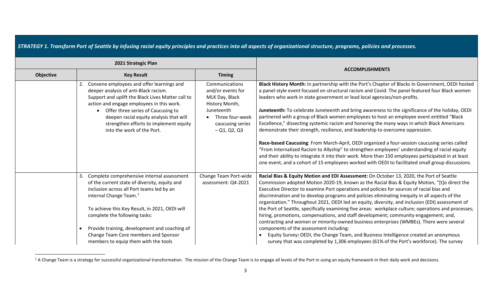<span id="page-3-0"></span>

|  |  |  |  | STRATEGY 1. Transform Port of Seattle by infusing racial equity principles and practices into all aspects of organizational structure, programs, policies and processes. |
|--|--|--|--|--------------------------------------------------------------------------------------------------------------------------------------------------------------------------|
|--|--|--|--|--------------------------------------------------------------------------------------------------------------------------------------------------------------------------|

|                  | 2021 Strategic Plan                                                                                                                                                                                                                                                                                                                                                                                             |                                                                                                                                                |                                                                                                                                                                                                                                                                                                                                                                                                                                                                                                                                                                                                                                                                                                                                                                                                                                                                                                                                                                                                                                                                                 |
|------------------|-----------------------------------------------------------------------------------------------------------------------------------------------------------------------------------------------------------------------------------------------------------------------------------------------------------------------------------------------------------------------------------------------------------------|------------------------------------------------------------------------------------------------------------------------------------------------|---------------------------------------------------------------------------------------------------------------------------------------------------------------------------------------------------------------------------------------------------------------------------------------------------------------------------------------------------------------------------------------------------------------------------------------------------------------------------------------------------------------------------------------------------------------------------------------------------------------------------------------------------------------------------------------------------------------------------------------------------------------------------------------------------------------------------------------------------------------------------------------------------------------------------------------------------------------------------------------------------------------------------------------------------------------------------------|
| <b>Objective</b> | <b>Key Result</b>                                                                                                                                                                                                                                                                                                                                                                                               | <b>Timing</b>                                                                                                                                  | <b>ACCOMPLISHMENTS</b>                                                                                                                                                                                                                                                                                                                                                                                                                                                                                                                                                                                                                                                                                                                                                                                                                                                                                                                                                                                                                                                          |
|                  | Convene employees and offer learnings and<br>deeper analysis of anti-Black racism.<br>Support and uplift the Black Lives Matter call to<br>action and engage employees in this work.<br>Offer three series of Caucusing to<br>deepen racial equity analysis that will<br>strengthen efforts to implement equity<br>into the work of the Port.                                                                   | Communications<br>and/or events for<br>MLK Day, Black<br>History Month,<br>Juneteenth<br>Three four-week<br>caucusing series<br>$-$ Q1, Q2, Q3 | Black History Month: In partnership with the Port's Chapter of Blacks In Government, OEDI hosted<br>a panel-style event focused on structural racism and Covid. The panel featured four Black women<br>leaders who work in state government or lead local agencies/non-profits.<br>Juneteenth: To celebrate Juneteenth and bring awareness to the significance of the holiday, OEDI<br>partnered with a group of Black women employees to host an employee event entitled "Black<br>Excellence," dissecting systemic racism and honoring the many ways in which Black Americans<br>demonstrate their strength, resilience, and leadership to overcome oppression.<br>Race-based Caucusing: From March-April, OEDI organized a four-session caucusing series called<br>"From Internalized Racism to Allyship" to strengthen employees' understanding of racial equity<br>and their ability to integrate it into their work. More than 150 employees participated in at least<br>one event, and a cohort of 15 employees worked with OEDI to facilitated small group discussions. |
|                  | Complete comprehensive internal assessment<br>of the current state of diversity, equity and<br>inclusion across all Port teams led by an<br>internal Change Team. <sup>1</sup><br>To achieve this Key Result, in 2021, OEDI will<br>complete the following tasks:<br>Provide training, development and coaching of<br>$\bullet$<br>Change Team Core members and Sponsor<br>members to equip them with the tools | Change Team Port-wide<br>assessment: Q4-2021                                                                                                   | Racial Bias & Equity Motion and EDI Assessment: On October 13, 2020, the Port of Seattle<br>Commission adopted Motion 2020-19, known as the Racial Bias & Equity Motion, "[t]o direct the<br>Executive Director to examine Port operations and policies for sources of racial bias and<br>discrimination and to develop programs and policies eliminating inequity in all aspects of the<br>organization." Throughout 2021, OEDI led an equity, diversity, and inclusion (EDI) assessment of<br>the Port of Seattle, specifically examining five areas: workplace culture; operations and processes;<br>hiring, promotions, compensations, and staff development; community engagement; and,<br>contracting and women or minority-owned business enterprises (WMBEs). There were several<br>components of the assessment including:<br>Equity Survey: OEDI, the Change Team, and Business Intelligence created an anonymous<br>survey that was completed by 1,306 employees (61% of the Port's workforce). The survey                                                           |

<sup>&</sup>lt;sup>1</sup> A Change Team is a strategy for successful organizational transformation. The mission of the Change Team is to engage all levels of the Port in using an equity framework in their daily work and decisions.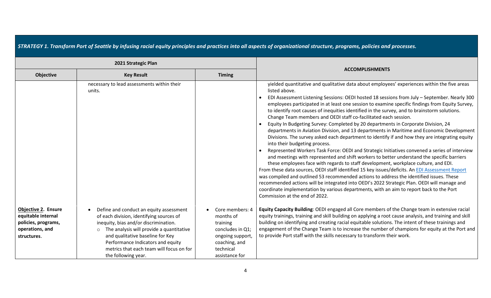|                                                                                                           | 2021 Strategic Plan                                                                                                                                                                                                                                                                                                             |                                                                                                                                  |                                                                                                                                                                                                                                                                                                                                                                                                                                                                                                                                                                                                                                                                                                                                                                                                                                                                                                                                                                                                                                                                                                                                                                                                                                                                                                                                                                                                                                                                                                                             |
|-----------------------------------------------------------------------------------------------------------|---------------------------------------------------------------------------------------------------------------------------------------------------------------------------------------------------------------------------------------------------------------------------------------------------------------------------------|----------------------------------------------------------------------------------------------------------------------------------|-----------------------------------------------------------------------------------------------------------------------------------------------------------------------------------------------------------------------------------------------------------------------------------------------------------------------------------------------------------------------------------------------------------------------------------------------------------------------------------------------------------------------------------------------------------------------------------------------------------------------------------------------------------------------------------------------------------------------------------------------------------------------------------------------------------------------------------------------------------------------------------------------------------------------------------------------------------------------------------------------------------------------------------------------------------------------------------------------------------------------------------------------------------------------------------------------------------------------------------------------------------------------------------------------------------------------------------------------------------------------------------------------------------------------------------------------------------------------------------------------------------------------------|
| Objective                                                                                                 | <b>Key Result</b>                                                                                                                                                                                                                                                                                                               | <b>Timing</b>                                                                                                                    | <b>ACCOMPLISHMENTS</b>                                                                                                                                                                                                                                                                                                                                                                                                                                                                                                                                                                                                                                                                                                                                                                                                                                                                                                                                                                                                                                                                                                                                                                                                                                                                                                                                                                                                                                                                                                      |
|                                                                                                           | necessary to lead assessments within their<br>units.                                                                                                                                                                                                                                                                            |                                                                                                                                  | yielded quantitative and qualitative data about employees' experiences within the five areas<br>listed above.<br>EDI Assessment Listening Sessions: OEDI hosted 18 sessions from July - September. Nearly 300<br>employees participated in at least one session to examine specific findings from Equity Survey,<br>to identify root causes of inequities identified in the survey, and to brainstorm solutions.<br>Change Team members and OEDI staff co-facilitated each session.<br>Equity In Budgeting Survey: Completed by 20 departments in Corporate Division, 24<br>departments in Aviation Division, and 13 departments in Maritime and Economic Development<br>Divisions. The survey asked each department to identify if and how they are integrating equity<br>into their budgeting process.<br>Represented Workers Task Force: OEDI and Strategic Initiatives convened a series of interview<br>and meetings with represented and shift workers to better understand the specific barriers<br>these employees face with regards to staff development, workplace culture, and EDI.<br>From these data sources, OEDI staff identified 15 key issues/deficits. An EDI Assessment Report<br>was compiled and outlined 53 recommended actions to address the identified issues. These<br>recommended actions will be integrated into OEDI's 2022 Strategic Plan. OEDI will manage and<br>coordinate implementation by various departments, with an aim to report back to the Port<br>Commission at the end of 2022. |
| <b>Objective 2. Ensure</b><br>equitable internal<br>policies, programs,<br>operations, and<br>structures. | Define and conduct an equity assessment<br>of each division, identifying sources of<br>inequity, bias and/or discrimination.<br>The analysis will provide a quantitative<br>$\circ$<br>and qualitative baseline for Key<br>Performance Indicators and equity<br>metrics that each team will focus on for<br>the following year. | Core members: 4<br>months of<br>training<br>concludes in Q1;<br>ongoing support,<br>coaching, and<br>technical<br>assistance for | Equity Capacity Building: OEDI engaged all Core members of the Change team in extensive racial<br>equity trainings, training and skill building on applying a root cause analysis, and training and skill<br>building on identifying and creating racial equitable solutions. The intent of these trainings and<br>engagement of the Change Team is to increase the number of champions for equity at the Port and<br>to provide Port staff with the skills necessary to transform their work.                                                                                                                                                                                                                                                                                                                                                                                                                                                                                                                                                                                                                                                                                                                                                                                                                                                                                                                                                                                                                              |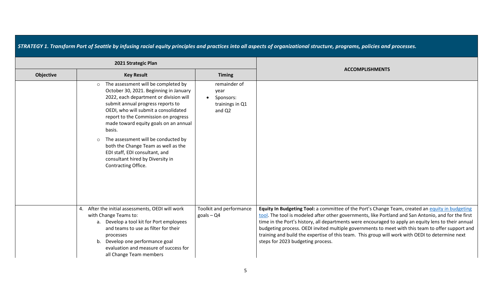| STRATEGY 1. Transform Port of Seattle by infusing racial equity principles and practices into all aspects of organizational structure, programs, policies and processes. |                                                                                                                                                                                                                                                                                                                                                                                                                                                                                                  |                                                                |                                                                                                                                                                                                                                                                                                                                                                                                                                                                                                                                                           |  |  |
|--------------------------------------------------------------------------------------------------------------------------------------------------------------------------|--------------------------------------------------------------------------------------------------------------------------------------------------------------------------------------------------------------------------------------------------------------------------------------------------------------------------------------------------------------------------------------------------------------------------------------------------------------------------------------------------|----------------------------------------------------------------|-----------------------------------------------------------------------------------------------------------------------------------------------------------------------------------------------------------------------------------------------------------------------------------------------------------------------------------------------------------------------------------------------------------------------------------------------------------------------------------------------------------------------------------------------------------|--|--|
|                                                                                                                                                                          | 2021 Strategic Plan                                                                                                                                                                                                                                                                                                                                                                                                                                                                              |                                                                |                                                                                                                                                                                                                                                                                                                                                                                                                                                                                                                                                           |  |  |
| <b>Objective</b>                                                                                                                                                         | <b>Key Result</b>                                                                                                                                                                                                                                                                                                                                                                                                                                                                                | <b>Timing</b>                                                  | <b>ACCOMPLISHMENTS</b>                                                                                                                                                                                                                                                                                                                                                                                                                                                                                                                                    |  |  |
|                                                                                                                                                                          | The assessment will be completed by<br>$\circ$<br>October 30, 2021. Beginning in January<br>2022, each department or division will<br>submit annual progress reports to<br>OEDI, who will submit a consolidated<br>report to the Commission on progress<br>made toward equity goals on an annual<br>basis.<br>The assessment will be conducted by<br>$\circ$<br>both the Change Team as well as the<br>EDI staff, EDI consultant, and<br>consultant hired by Diversity in<br>Contracting Office. | remainder of<br>year<br>Sponsors:<br>trainings in Q1<br>and Q2 |                                                                                                                                                                                                                                                                                                                                                                                                                                                                                                                                                           |  |  |
|                                                                                                                                                                          | After the initial assessments, OEDI will work<br>4.<br>with Change Teams to:<br>a. Develop a tool kit for Port employees<br>and teams to use as filter for their<br>processes<br>b. Develop one performance goal<br>evaluation and measure of success for<br>all Change Team members                                                                                                                                                                                                             | Toolkit and performance<br>$g$ oals - Q4                       | Equity In Budgeting Tool: a committee of the Port's Change Team, created an equity in budgeting<br>tool. The tool is modeled after other governments, like Portland and San Antonio, and for the first<br>time in the Port's history, all departments were encouraged to apply an equity lens to their annual<br>budgeting process. OEDI invited multiple governments to meet with this team to offer support and<br>training and build the expertise of this team. This group will work with OEDI to determine next<br>steps for 2023 budgeting process. |  |  |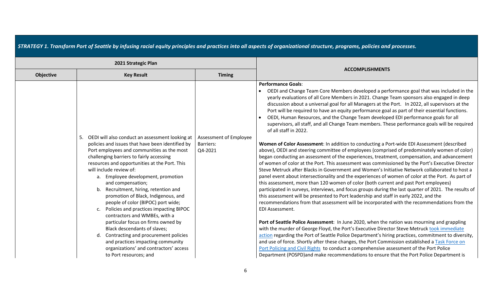|                  | 2021 Strategic Plan                                                                                                                                                                                                                                                                                                                                                                                                                                                                                                                                                                                                                                                                                  |                                                |                                                                                                                                                                                                                                                                                                                                                                                                                                                                                                                                                                                                                                                                                                                                                                                                                                                                                                                                                                                                                                                                                                                                                                                                                                                                                                                                                                                                                                                                                                                                                                                                                                                                                                                                                                                                                                                                                                                                                                                                                                                                   |
|------------------|------------------------------------------------------------------------------------------------------------------------------------------------------------------------------------------------------------------------------------------------------------------------------------------------------------------------------------------------------------------------------------------------------------------------------------------------------------------------------------------------------------------------------------------------------------------------------------------------------------------------------------------------------------------------------------------------------|------------------------------------------------|-------------------------------------------------------------------------------------------------------------------------------------------------------------------------------------------------------------------------------------------------------------------------------------------------------------------------------------------------------------------------------------------------------------------------------------------------------------------------------------------------------------------------------------------------------------------------------------------------------------------------------------------------------------------------------------------------------------------------------------------------------------------------------------------------------------------------------------------------------------------------------------------------------------------------------------------------------------------------------------------------------------------------------------------------------------------------------------------------------------------------------------------------------------------------------------------------------------------------------------------------------------------------------------------------------------------------------------------------------------------------------------------------------------------------------------------------------------------------------------------------------------------------------------------------------------------------------------------------------------------------------------------------------------------------------------------------------------------------------------------------------------------------------------------------------------------------------------------------------------------------------------------------------------------------------------------------------------------------------------------------------------------------------------------------------------------|
| <b>Objective</b> | <b>Key Result</b>                                                                                                                                                                                                                                                                                                                                                                                                                                                                                                                                                                                                                                                                                    | <b>Timing</b>                                  | <b>ACCOMPLISHMENTS</b>                                                                                                                                                                                                                                                                                                                                                                                                                                                                                                                                                                                                                                                                                                                                                                                                                                                                                                                                                                                                                                                                                                                                                                                                                                                                                                                                                                                                                                                                                                                                                                                                                                                                                                                                                                                                                                                                                                                                                                                                                                            |
|                  | OEDI will also conduct an assessment looking at<br>5.<br>policies and issues that have been identified by<br>Port employees and communities as the most<br>challenging barriers to fairly accessing<br>resources and opportunities at the Port. This<br>will include review of:<br>a. Employee development, promotion<br>and compensation;<br>b. Recruitment, hiring, retention and<br>promotion of Black, Indigenous, and<br>people of color (BIPOC) port wide;<br>c. Policies and practices impacting BIPOC<br>contractors and WMBEs, with a<br>particular focus on firms owned by<br>Black descendants of slaves;<br>d. Contracting and procurement policies<br>and practices impacting community | Assessment of Employee<br>Barriers:<br>Q4-2021 | <b>Performance Goals:</b><br>OEDI and Change Team Core Members developed a performance goal that was included in the<br>yearly evaluations of all Core Members in 2021. Change Team sponsors also engaged in deep<br>discussion about a universal goal for all Managers at the Port. In 2022, all supervisors at the<br>Port will be required to have an equity performance goal as part of their essential functions.<br>OEDI, Human Resources, and the Change Team developed EDI performance goals for all<br>supervisors, all staff, and all Change Team members. These performance goals will be required<br>of all staff in 2022.<br>Women of Color Assessment: In addition to conducting a Port-wide EDI Assessment (described<br>above), OEDI and steering committee of employees (comprised of predominately women of color)<br>began conducting an assessment of the experiences, treatment, compensation, and advancement<br>of women of color at the Port. This assessment was commissioned by the Port's Executive Director<br>Steve Metruck after Blacks in Government and Women's Initiative Network collaborated to host a<br>panel event about intersectionality and the experiences of women of color at the Port. As part of<br>this assessment, more than 120 women of color (both current and past Port employees)<br>participated in surveys, interviews, and focus groups during the last quarter of 2021. The results of<br>this assessment will be presented to Port leadership and staff in early 2022, and the<br>recommendations from that assessment will be incorporated with the recommendations from the<br>EDI Assessment.<br>Port of Seattle Police Assessment: In June 2020, when the nation was mourning and grappling<br>with the murder of George Floyd, the Port's Executive Director Steve Metruck took immediate<br>action regarding the Port of Seattle Police Department's hiring practices, commitment to diversity,<br>and use of force. Shortly after these changes, the Port Commission established a Task Force on |
|                  | organizations' and contractors' access<br>to Port resources; and                                                                                                                                                                                                                                                                                                                                                                                                                                                                                                                                                                                                                                     |                                                | Port Policing and Civil Rights to conduct a comprehensive assessment of the Port Police<br>Department (POSPD) and make recommendations to ensure that the Port Police Department is                                                                                                                                                                                                                                                                                                                                                                                                                                                                                                                                                                                                                                                                                                                                                                                                                                                                                                                                                                                                                                                                                                                                                                                                                                                                                                                                                                                                                                                                                                                                                                                                                                                                                                                                                                                                                                                                               |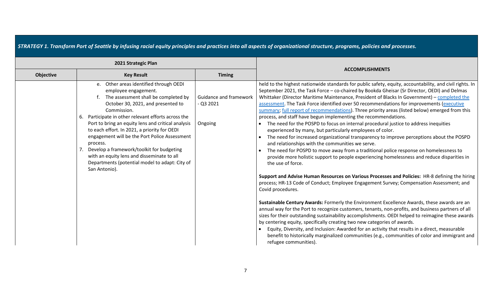|                  | 2021 Strategic Plan                                                                                                                                                                                                                                                                                                                                                                                                                                                                                                                                    |                                                |                                                                                                                                                                                                                                                                                                                                                                                                                                                                                                                                                                                                                                                                                                                                                                                                                                                                                                                                                                                                                                                                                                                                                                                                                                                                                                                                                                                                                                                                                                                                                                                                                                                                                                                                                                                                                                                                                                                                      |
|------------------|--------------------------------------------------------------------------------------------------------------------------------------------------------------------------------------------------------------------------------------------------------------------------------------------------------------------------------------------------------------------------------------------------------------------------------------------------------------------------------------------------------------------------------------------------------|------------------------------------------------|--------------------------------------------------------------------------------------------------------------------------------------------------------------------------------------------------------------------------------------------------------------------------------------------------------------------------------------------------------------------------------------------------------------------------------------------------------------------------------------------------------------------------------------------------------------------------------------------------------------------------------------------------------------------------------------------------------------------------------------------------------------------------------------------------------------------------------------------------------------------------------------------------------------------------------------------------------------------------------------------------------------------------------------------------------------------------------------------------------------------------------------------------------------------------------------------------------------------------------------------------------------------------------------------------------------------------------------------------------------------------------------------------------------------------------------------------------------------------------------------------------------------------------------------------------------------------------------------------------------------------------------------------------------------------------------------------------------------------------------------------------------------------------------------------------------------------------------------------------------------------------------------------------------------------------------|
| <b>Objective</b> | <b>Key Result</b>                                                                                                                                                                                                                                                                                                                                                                                                                                                                                                                                      | <b>Timing</b>                                  | <b>ACCOMPLISHMENTS</b>                                                                                                                                                                                                                                                                                                                                                                                                                                                                                                                                                                                                                                                                                                                                                                                                                                                                                                                                                                                                                                                                                                                                                                                                                                                                                                                                                                                                                                                                                                                                                                                                                                                                                                                                                                                                                                                                                                               |
|                  | e. Other areas identified through OEDI<br>employee engagement.<br>The assessment shall be completed by<br>October 30, 2021, and presented to<br>Commission.<br>Participate in other relevant efforts across the<br>6.<br>Port to bring an equity lens and critical analysis<br>to each effort. In 2021, a priority for OEDI<br>engagement will be the Port Police Assessment<br>process.<br>Develop a framework/toolkit for budgeting<br>with an equity lens and disseminate to all<br>Departments (potential model to adapt: City of<br>San Antonio). | Guidance and framework<br>- Q3 2021<br>Ongoing | held to the highest nationwide standards for public safety, equity, accountability, and civil rights. In<br>September 2021, the Task Force - co-chaired by Bookda Gheisar (Sr Director, OEDI) and Delmas<br>Whittaker (Director Maritime Maintenance, President of Blacks In Government) - completed the<br>assessment. The Task Force identified over 50 recommendations for improvements (executive<br>summary; full report of recommendations). Three priority areas (listed below) emerged from this<br>process, and staff have begun implementing the recommendations.<br>The need for the POSPD to focus on internal procedural justice to address inequities<br>experienced by many, but particularly employees of color.<br>The need for increased organizational transparency to improve perceptions about the POSPD<br>and relationships with the communities we serve.<br>The need for POSPD to move away from a traditional police response on homelessness to<br>provide more holistic support to people experiencing homelessness and reduce disparities in<br>the use of force.<br>Support and Advise Human Resources on Various Processes and Policies: HR-8 defining the hiring<br>process; HR-13 Code of Conduct; Employee Engagement Survey; Compensation Assessment; and<br>Covid procedures.<br>Sustainable Century Awards: Formerly the Environment Excellence Awards, these awards are an<br>annual way for the Port to recognize customers, tenants, non-profits, and business partners of all<br>sizes for their outstanding sustainability accomplishments. OEDI helped to reimagine these awards<br>by centering equity, specifically creating two new categories of awards.<br>Equity, Diversity, and Inclusion: Awarded for an activity that results in a direct, measurable<br>benefit to historically marginalized communities (e.g., communities of color and immigrant and<br>refugee communities). |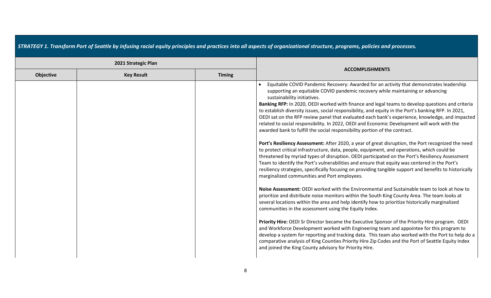|  |  |  | STRATEGY 1. Transform Port of Seattle by infusing racial equity principles and practices into all aspects of organizational structure, programs, policies and processes. |  |
|--|--|--|--------------------------------------------------------------------------------------------------------------------------------------------------------------------------|--|
|--|--|--|--------------------------------------------------------------------------------------------------------------------------------------------------------------------------|--|

|           | 2021 Strategic Plan |               |                                                                                                                                                                                                                                                                                                                                                                                                                                                                                                                                                                                                                                                                                                                                                                                                                                                                                                                                                                                                                                                                                                                                                                                                                                                                                                                                                                                                                                                                                                                                                                                                                                                                                                                                                                                                                                                                                                                                                                                                                                                                                                           |
|-----------|---------------------|---------------|-----------------------------------------------------------------------------------------------------------------------------------------------------------------------------------------------------------------------------------------------------------------------------------------------------------------------------------------------------------------------------------------------------------------------------------------------------------------------------------------------------------------------------------------------------------------------------------------------------------------------------------------------------------------------------------------------------------------------------------------------------------------------------------------------------------------------------------------------------------------------------------------------------------------------------------------------------------------------------------------------------------------------------------------------------------------------------------------------------------------------------------------------------------------------------------------------------------------------------------------------------------------------------------------------------------------------------------------------------------------------------------------------------------------------------------------------------------------------------------------------------------------------------------------------------------------------------------------------------------------------------------------------------------------------------------------------------------------------------------------------------------------------------------------------------------------------------------------------------------------------------------------------------------------------------------------------------------------------------------------------------------------------------------------------------------------------------------------------------------|
| Objective | <b>Key Result</b>   | <b>Timing</b> | <b>ACCOMPLISHMENTS</b>                                                                                                                                                                                                                                                                                                                                                                                                                                                                                                                                                                                                                                                                                                                                                                                                                                                                                                                                                                                                                                                                                                                                                                                                                                                                                                                                                                                                                                                                                                                                                                                                                                                                                                                                                                                                                                                                                                                                                                                                                                                                                    |
|           |                     |               | Equitable COVID Pandemic Recovery: Awarded for an activity that demonstrates leadership<br>supporting an equitable COVID pandemic recovery while maintaining or advancing<br>sustainability initiatives.<br>Banking RFP: In 2020, OEDI worked with finance and legal teams to develop questions and criteria<br>to establish diversity issues, social responsibility, and equity in the Port's banking RFP. In 2021,<br>OEDI sat on the RFP review panel that evaluated each bank's experience, knowledge, and impacted<br>related to social responsibility. In 2022, OEDI and Economic Development will work with the<br>awarded bank to fulfill the social responsibility portion of the contract.<br>Port's Resiliency Assessment: After 2020, a year of great disruption, the Port recognized the need<br>to protect critical infrastructure, data, people, equipment, and operations, which could be<br>threatened by myriad types of disruption. OEDI participated on the Port's Resiliency Assessment<br>Team to identify the Port's vulnerabilities and ensure that equity was centered in the Port's<br>resiliency strategies, specifically focusing on providing tangible support and benefits to historically<br>marginalized communities and Port employees.<br>Noise Assessment: OEDI worked with the Environmental and Sustainable team to look at how to<br>prioritize and distribute noise monitors within the South King County Area. The team looks at<br>several locations within the area and help identify how to prioritize historically marginalized<br>communities in the assessment using the Equity Index.<br>Priority Hire: OEDI Sr Director became the Executive Sponsor of the Priority Hire program. OEDI<br>and Workforce Development worked with Engineering team and appointee for this program to<br>develop a system for reporting and tracking data. This team also worked with the Port to help do a<br>comparative analysis of King Counties Priority Hire Zip Codes and the Port of Seattle Equity Index<br>and joined the King County advisory for Priority Hire. |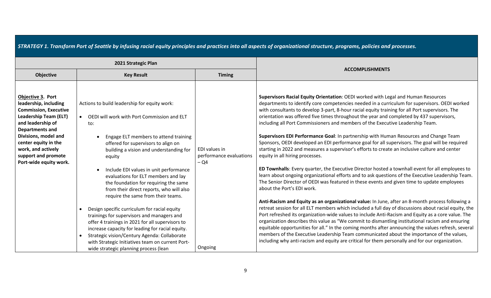|                                                                                                                                                                                                                                                                                  | 2021 Strategic Plan                                                                                                                                                                                                                                                                                                                                                                                                                                                                                                                                                                                                                                                                                                                                                                                                 |                                                              |                                                                                                                                                                                                                                                                                                                                                                                                                                                                                                                                                                                                                                                                                                                                                                                                                                                                                                                                                                                                                                                                                                                                                                                                                                                                                                                                                                                                                                                                                                                                                                                                                                                                                                                                                                                                                                                                          |
|----------------------------------------------------------------------------------------------------------------------------------------------------------------------------------------------------------------------------------------------------------------------------------|---------------------------------------------------------------------------------------------------------------------------------------------------------------------------------------------------------------------------------------------------------------------------------------------------------------------------------------------------------------------------------------------------------------------------------------------------------------------------------------------------------------------------------------------------------------------------------------------------------------------------------------------------------------------------------------------------------------------------------------------------------------------------------------------------------------------|--------------------------------------------------------------|--------------------------------------------------------------------------------------------------------------------------------------------------------------------------------------------------------------------------------------------------------------------------------------------------------------------------------------------------------------------------------------------------------------------------------------------------------------------------------------------------------------------------------------------------------------------------------------------------------------------------------------------------------------------------------------------------------------------------------------------------------------------------------------------------------------------------------------------------------------------------------------------------------------------------------------------------------------------------------------------------------------------------------------------------------------------------------------------------------------------------------------------------------------------------------------------------------------------------------------------------------------------------------------------------------------------------------------------------------------------------------------------------------------------------------------------------------------------------------------------------------------------------------------------------------------------------------------------------------------------------------------------------------------------------------------------------------------------------------------------------------------------------------------------------------------------------------------------------------------------------|
| <b>Objective</b>                                                                                                                                                                                                                                                                 | <b>Key Result</b>                                                                                                                                                                                                                                                                                                                                                                                                                                                                                                                                                                                                                                                                                                                                                                                                   | <b>Timing</b>                                                | <b>ACCOMPLISHMENTS</b>                                                                                                                                                                                                                                                                                                                                                                                                                                                                                                                                                                                                                                                                                                                                                                                                                                                                                                                                                                                                                                                                                                                                                                                                                                                                                                                                                                                                                                                                                                                                                                                                                                                                                                                                                                                                                                                   |
| Objective 3. Port<br>leadership, including<br><b>Commission, Executive</b><br><b>Leadership Team (ELT)</b><br>and leadership of<br><b>Departments and</b><br>Divisions, model and<br>center equity in the<br>work, and actively<br>support and promote<br>Port-wide equity work. | Actions to build leadership for equity work:<br>OEDI will work with Port Commission and ELT<br>$\bullet$<br>to:<br>Engage ELT members to attend training<br>offered for supervisors to align on<br>building a vision and understanding for<br>equity<br>Include EDI values in unit performance<br>evaluations for ELT members and lay<br>the foundation for requiring the same<br>from their direct reports, who will also<br>require the same from their teams.<br>Design specific curriculum for racial equity<br>trainings for supervisors and managers and<br>offer 4 trainings in 2021 for all supervisors to<br>increase capacity for leading for racial equity.<br>Strategic vision/Century Agenda: Collaborate<br>with Strategic Initiatives team on current Port-<br>wide strategic planning process (lean | EDI values in<br>performance evaluations<br>$-Q4$<br>Ongoing | Supervisors Racial Equity Orientation: OEDI worked with Legal and Human Resources<br>departments to identify core competencies needed in a curriculum for supervisors. OEDI worked<br>with consultants to develop 3-part, 8-hour racial equity training for all Port supervisors. The<br>orientation was offered five times throughout the year and completed by 437 supervisors,<br>including all Port Commissioners and members of the Executive Leadership Team.<br>Supervisors EDI Performance Goal: In partnership with Human Resources and Change Team<br>Sponsors, OEDI developed an EDI performance goal for all supervisors. The goal will be required<br>starting in 2022 and measures a supervisor's efforts to create an inclusive culture and center<br>equity in all hiring processes.<br>ED Townhalls: Every quarter, the Executive Director hosted a townhall event for all employees to<br>learn about ongoing organizational efforts and to ask questions of the Executive Leadership Team.<br>The Senior Director of OEDI was featured in these events and given time to update employees<br>about the Port's EDI work.<br>Anti-Racism and Equity as an organizational value: In June, after an 8-month process following a<br>retreat session for all ELT members which included a full day of discussions about racial equity, the<br>Port refreshed its organization-wide values to include Anti-Racism and Equity as a core value. The<br>organization describes this value as "We commit to dismantling institutional racism and ensuring<br>equitable opportunities for all." In the coming months after announcing the values refresh, several<br>members of the Executive Leadership Team communicated about the importance of the values,<br>including why anti-racism and equity are critical for them personally and for our organization. |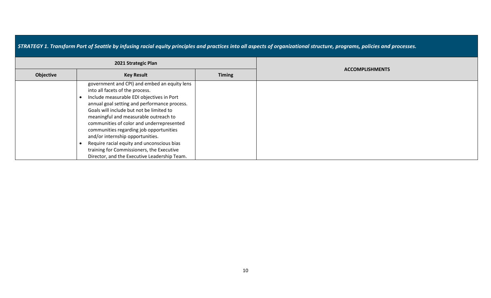|           |                     |               | STRATEGY 1. Transform Port of Seattle by infusing racial equity principles and practices into all aspects of organizational structure, programs, policies and processes. |
|-----------|---------------------|---------------|--------------------------------------------------------------------------------------------------------------------------------------------------------------------------|
|           | 2021 Strategic Plan |               |                                                                                                                                                                          |
| Objective | <b>Key Result</b>   | <b>Timing</b> | <b>ACCOMPLISHMENTS</b>                                                                                                                                                   |

| into all facets of the process.              |  |  |
|----------------------------------------------|--|--|
| Include measurable EDI objectives in Port    |  |  |
| annual goal setting and performance process. |  |  |
| Goals will include but not be limited to     |  |  |
| meaningful and measurable outreach to        |  |  |
| communities of color and underrepresented    |  |  |
| communities regarding job opportunities      |  |  |
| and/or internship opportunities.             |  |  |
| Require racial equity and unconscious bias   |  |  |
| training for Commissioners, the Executive    |  |  |
| Director, and the Executive Leadership Team. |  |  |

government and CPI) and embed an equity lens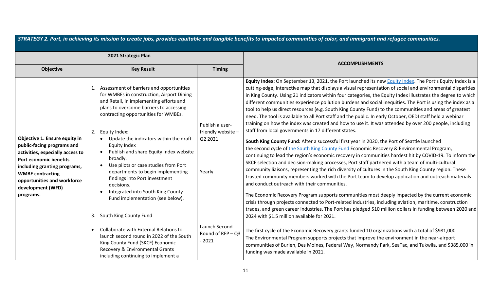| STRATEGY 2. Port, in achieving its mission to create jobs, provides equitable and tangible benefits to impacted communities of color, and immigrant and refugee communities.                                                                                 |                                                                                                                                                                                                                                                                                                                                                                                                                                                                                                                                                                                                 |                                                            |                                                                                                                                                                                                                                                                                                                                                                                                                                                                                                                                                                                                                                                                                                                                                                                                                                                                                                                                                                                                                                                                                                                                                                                                                                                                                                                                                                                                                                                                                                                                                                                                                                                                                                                                                                                                                                                                                                                |  |
|--------------------------------------------------------------------------------------------------------------------------------------------------------------------------------------------------------------------------------------------------------------|-------------------------------------------------------------------------------------------------------------------------------------------------------------------------------------------------------------------------------------------------------------------------------------------------------------------------------------------------------------------------------------------------------------------------------------------------------------------------------------------------------------------------------------------------------------------------------------------------|------------------------------------------------------------|----------------------------------------------------------------------------------------------------------------------------------------------------------------------------------------------------------------------------------------------------------------------------------------------------------------------------------------------------------------------------------------------------------------------------------------------------------------------------------------------------------------------------------------------------------------------------------------------------------------------------------------------------------------------------------------------------------------------------------------------------------------------------------------------------------------------------------------------------------------------------------------------------------------------------------------------------------------------------------------------------------------------------------------------------------------------------------------------------------------------------------------------------------------------------------------------------------------------------------------------------------------------------------------------------------------------------------------------------------------------------------------------------------------------------------------------------------------------------------------------------------------------------------------------------------------------------------------------------------------------------------------------------------------------------------------------------------------------------------------------------------------------------------------------------------------------------------------------------------------------------------------------------------------|--|
| 2021 Strategic Plan                                                                                                                                                                                                                                          |                                                                                                                                                                                                                                                                                                                                                                                                                                                                                                                                                                                                 |                                                            | <b>ACCOMPLISHMENTS</b>                                                                                                                                                                                                                                                                                                                                                                                                                                                                                                                                                                                                                                                                                                                                                                                                                                                                                                                                                                                                                                                                                                                                                                                                                                                                                                                                                                                                                                                                                                                                                                                                                                                                                                                                                                                                                                                                                         |  |
| <b>Objective</b>                                                                                                                                                                                                                                             | <b>Key Result</b>                                                                                                                                                                                                                                                                                                                                                                                                                                                                                                                                                                               | <b>Timing</b>                                              |                                                                                                                                                                                                                                                                                                                                                                                                                                                                                                                                                                                                                                                                                                                                                                                                                                                                                                                                                                                                                                                                                                                                                                                                                                                                                                                                                                                                                                                                                                                                                                                                                                                                                                                                                                                                                                                                                                                |  |
| Objective 1. Ensure equity in<br>public-facing programs and<br>activities, especially access to<br><b>Port economic benefits</b><br>including granting programs,<br><b>WMBE contracting</b><br>opportunities and workforce<br>development (WFD)<br>programs. | Assessment of barriers and opportunities<br>for WMBEs in construction, Airport Dining<br>and Retail, in implementing efforts and<br>plans to overcome barriers to accessing<br>contracting opportunities for WMBEs.<br>2.<br>Equity Index:<br>Update the indicators within the draft<br>Equity Index<br>Publish and share Equity Index website<br>broadly.<br>Use pilots or case studies from Port<br>departments to begin implementing<br>findings into Port investment<br>decisions.<br>Integrated into South King County<br>Fund implementation (see below).<br>South King County Fund<br>3. | Publish a user-<br>friendly website -<br>Q2 2021<br>Yearly | Equity Index: On September 13, 2021, the Port launched its new <b>Equity Index</b> . The Port's Equity Index is a<br>cutting-edge, interactive map that displays a visual representation of social and environmental disparities<br>in King County. Using 21 indicators within four categories, the Equity Index illustrates the degree to which<br>different communities experience pollution burdens and social inequities. The Port is using the index as a<br>tool to help us direct resources (e.g. South King County Fund) to the communities and areas of greatest<br>need. The tool is available to all Port staff and the public. In early October, OEDI staff held a webinar<br>training on how the index was created and how to use it. It was attended by over 200 people, including<br>staff from local governments in 17 different states.<br>South King County Fund: After a successful first year in 2020, the Port of Seattle launched<br>the second cycle of the South King County Fund Economic Recovery & Environmental Program,<br>continuing to lead the region's economic recovery in communities hardest hit by COVID-19. To inform the<br>SKCF selection and decision-making processes, Port staff partnered with a team of multi-cultural<br>community liaisons, representing the rich diversity of cultures in the South King County region. These<br>trusted community members worked with the Port team to develop application and outreach materials<br>and conduct outreach with their communities.<br>The Economic Recovery Program supports communities most deeply impacted by the current economic<br>crisis through projects connected to Port-related industries, including aviation, maritime, construction<br>trades, and green career industries. The Port has pledged \$10 million dollars in funding between 2020 and<br>2024 with \$1.5 million available for 2021. |  |
|                                                                                                                                                                                                                                                              | Collaborate with External Relations to<br>launch second round in 2022 of the South<br>King County Fund (SKCF) Economic<br>Recovery & Environmental Grants<br>including continuing to implement a                                                                                                                                                                                                                                                                                                                                                                                                | Launch Second<br>Round of RFP - Q3<br>$-2021$              | The first cycle of the Economic Recovery grants funded 10 organizations with a total of \$981,000<br>The Environmental Program supports projects that improve the environment in the near-airport<br>communities of Burien, Des Moines, Federal Way, Normandy Park, SeaTac, and Tukwila, and \$385,000 in<br>funding was made available in 2021.                                                                                                                                                                                                                                                                                                                                                                                                                                                                                                                                                                                                                                                                                                                                                                                                                                                                                                                                                                                                                                                                                                                                                                                                                                                                                                                                                                                                                                                                                                                                                               |  |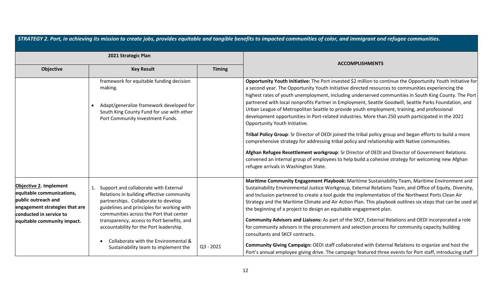| STRATEGY 2. Port, in achieving its mission to create jobs, provides equitable and tangible benefits to impacted communities of color, and immigrant and refugee communities.  |                                                                                                                                                                                                                                                                                                                                                                                              |               |                                                                                                                                                                                                                                                                                                                                                                                                                                                                                                                                                                                                                                                                                                                                                                                                                                                                                                                                                                                                                                                                                                                                              |  |
|-------------------------------------------------------------------------------------------------------------------------------------------------------------------------------|----------------------------------------------------------------------------------------------------------------------------------------------------------------------------------------------------------------------------------------------------------------------------------------------------------------------------------------------------------------------------------------------|---------------|----------------------------------------------------------------------------------------------------------------------------------------------------------------------------------------------------------------------------------------------------------------------------------------------------------------------------------------------------------------------------------------------------------------------------------------------------------------------------------------------------------------------------------------------------------------------------------------------------------------------------------------------------------------------------------------------------------------------------------------------------------------------------------------------------------------------------------------------------------------------------------------------------------------------------------------------------------------------------------------------------------------------------------------------------------------------------------------------------------------------------------------------|--|
| 2021 Strategic Plan                                                                                                                                                           |                                                                                                                                                                                                                                                                                                                                                                                              |               |                                                                                                                                                                                                                                                                                                                                                                                                                                                                                                                                                                                                                                                                                                                                                                                                                                                                                                                                                                                                                                                                                                                                              |  |
| <b>Objective</b>                                                                                                                                                              | <b>Key Result</b>                                                                                                                                                                                                                                                                                                                                                                            | <b>Timing</b> | <b>ACCOMPLISHMENTS</b>                                                                                                                                                                                                                                                                                                                                                                                                                                                                                                                                                                                                                                                                                                                                                                                                                                                                                                                                                                                                                                                                                                                       |  |
|                                                                                                                                                                               | framework for equitable funding decision<br>making.<br>Adapt/generalize framework developed for<br>South King County Fund for use with other<br>Port Community Investment Funds.                                                                                                                                                                                                             |               | Opportunity Youth Initiative: The Port invested \$2 million to continue the Opportunity Youth Initiative for<br>a second year. The Opportunity Youth Initiative directed resources to communities experiencing the<br>highest rates of youth unemployment, including underserved communities in South King County. The Port<br>partnered with local nonprofits Partner in Employment, Seattle Goodwill, Seattle Parks Foundation, and<br>Urban League of Metropolitan Seattle to provide youth employment, training, and professional<br>development opportunities in Port-related industries. More than 250 youth participated in the 2021<br>Opportunity Youth Initiative.<br>Tribal Policy Group: Sr Director of OEDI joined the tribal policy group and began efforts to build a more<br>comprehensive strategy for addressing tribal policy and relationship with Native communities.<br>Afghan Refugee Resettlement workgroup: Sr Director of OEDI and Director of Government Relations<br>convened an internal group of employees to help build a cohesive strategy for welcoming new Afghan<br>refugee arrivals in Washington State. |  |
| <b>Objective 2. Implement</b><br>equitable communications,<br>public outreach and<br>engagement strategies that are<br>conducted in service to<br>equitable community impact. | Support and collaborate with External<br>Relations in building effective community<br>partnerships. Collaborate to develop<br>guidelines and principles for working with<br>communities across the Port that center<br>transparency, access to Port benefits, and<br>accountability for the Port leadership.<br>Collaborate with the Environmental &<br>Sustainability team to implement the | $Q3 - 2021$   | Maritime Community Engagement Playbook: Maritime Sustainability Team, Maritime Environment and<br>Sustainability Environmental Justice Workgroup, External Relations Team, and Office of Equity, Diversity,<br>and Inclusion partnered to create a tool guide the implementation of the Northwest Ports Clean Air<br>Strategy and the Maritime Climate and Air Action Plan. This playbook outlines six steps that can be used at<br>the beginning of a project to design an equitable engagement plan.<br>Community Advisors and Liaisons: As part of the SKCF, External Relations and OEDI incorporated a role<br>for community advisors in the procurement and selection process for community capacity building<br>consultants and SKCF contracts.<br>Community Giving Campaign: OEDI staff collaborated with External Relations to organize and host the<br>Port's annual employee giving drive. The campaign featured three events for Port staff, introducing staff                                                                                                                                                                    |  |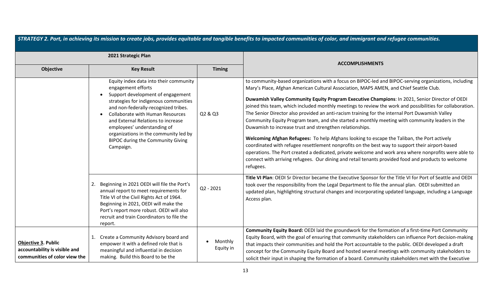| STRATEGY 2. Port, in achieving its mission to create jobs, provides equitable and tangible benefits to impacted communities of color, and immigrant and refugee communities. |                                                                                                                                                                                                                                                                                                                                                                                                      |                      |                                                                                                                                                                                                                                                                                                                                                                                                                                                                                                                                                                                                                                                                                                                                                                                                                                                                                                                                                                                                                                                                                                                |  |
|------------------------------------------------------------------------------------------------------------------------------------------------------------------------------|------------------------------------------------------------------------------------------------------------------------------------------------------------------------------------------------------------------------------------------------------------------------------------------------------------------------------------------------------------------------------------------------------|----------------------|----------------------------------------------------------------------------------------------------------------------------------------------------------------------------------------------------------------------------------------------------------------------------------------------------------------------------------------------------------------------------------------------------------------------------------------------------------------------------------------------------------------------------------------------------------------------------------------------------------------------------------------------------------------------------------------------------------------------------------------------------------------------------------------------------------------------------------------------------------------------------------------------------------------------------------------------------------------------------------------------------------------------------------------------------------------------------------------------------------------|--|
| 2021 Strategic Plan                                                                                                                                                          |                                                                                                                                                                                                                                                                                                                                                                                                      |                      | <b>ACCOMPLISHMENTS</b>                                                                                                                                                                                                                                                                                                                                                                                                                                                                                                                                                                                                                                                                                                                                                                                                                                                                                                                                                                                                                                                                                         |  |
| <b>Objective</b>                                                                                                                                                             | <b>Key Result</b>                                                                                                                                                                                                                                                                                                                                                                                    | <b>Timing</b>        |                                                                                                                                                                                                                                                                                                                                                                                                                                                                                                                                                                                                                                                                                                                                                                                                                                                                                                                                                                                                                                                                                                                |  |
|                                                                                                                                                                              | Equity index data into their community<br>engagement efforts<br>Support development of engagement<br>strategies for indigenous communities<br>and non-federally-recognized tribes.<br><b>Collaborate with Human Resources</b><br>and External Relations to increase<br>employees' understanding of<br>organizations in the community led by<br><b>BIPOC during the Community Giving</b><br>Campaign. | Q2 & Q3              | to community-based organizations with a focus on BIPOC-led and BIPOC-serving organizations, including<br>Mary's Place, Afghan American Cultural Association, MAPS AMEN, and Chief Seattle Club.<br>Duwamish Valley Community Equity Program Executive Champions: In 2021, Senior Director of OEDI<br>joined this team, which included monthly meetings to review the work and possibilities for collaboration.<br>The Senior Director also provided an anti-racism training for the internal Port Duwamish Valley<br>Community Equity Program team, and she started a monthly meeting with community leaders in the<br>Duwamish to increase trust and strengthen relationships.<br>Welcoming Afghan Refugees: To help Afghans looking to escape the Taliban, the Port actively<br>coordinated with refugee resettlement nonprofits on the best way to support their airport-based<br>operations. The Port created a dedicated, private welcome and work area where nonprofits were able to<br>connect with arriving refugees. Our dining and retail tenants provided food and products to welcome<br>refugees. |  |
|                                                                                                                                                                              | Beginning in 2021 OEDI will file the Port's<br>2.<br>annual report to meet requirements for<br>Title VI of the Civil Rights Act of 1964.<br>Beginning in 2021, OEDI will make the<br>Port's report more robust. OEDI will also<br>recruit and train Coordinators to file the<br>report.                                                                                                              | $Q2 - 2021$          | Title VI Plan: OEDI Sr Director became the Executive Sponsor for the Title VI for Port of Seattle and OEDI<br>took over the responsibility from the Legal Department to file the annual plan. OEDI submitted an<br>updated plan, highlighting structural changes and incorporating updated language, including a Language<br>Access plan.                                                                                                                                                                                                                                                                                                                                                                                                                                                                                                                                                                                                                                                                                                                                                                      |  |
| <b>Objective 3. Public</b><br>accountability is visible and<br>communities of color view the                                                                                 | Create a Community Advisory board and<br>empower it with a defined role that is<br>meaningful and influential in decision<br>making. Build this Board to be the                                                                                                                                                                                                                                      | Monthly<br>Equity in | Community Equity Board: OEDI laid the groundwork for the formation of a first-time Port Community<br>Equity Board, with the goal of ensuring that community stakeholders can influence Port decision-making<br>that impacts their communities and hold the Port accountable to the public. OEDI developed a draft<br>concept for the Community Equity Board and hosted several meetings with community stakeholders to<br>solicit their input in shaping the formation of a board. Community stakeholders met with the Executive                                                                                                                                                                                                                                                                                                                                                                                                                                                                                                                                                                               |  |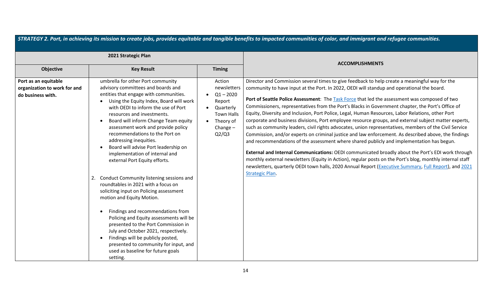| STRATEGY 2. Port, in achieving its mission to create jobs, provides equitable and tangible benefits to impacted communities of color, and immigrant and refugee communities. |                                                                                                                                                                                                                                                                                                                                                                                                                                                                                                                                                                                                                                                                                                                                                                                                                                                                                                                                                 |                                                                                                                                     |                                                                                                                                                                                                                                                                                                                                                                                                                                                                                                                                                                                                                                                                                                                                                                                                                                                                                                                                                                                                                                                                                                                                                                                                                                                                                      |  |
|------------------------------------------------------------------------------------------------------------------------------------------------------------------------------|-------------------------------------------------------------------------------------------------------------------------------------------------------------------------------------------------------------------------------------------------------------------------------------------------------------------------------------------------------------------------------------------------------------------------------------------------------------------------------------------------------------------------------------------------------------------------------------------------------------------------------------------------------------------------------------------------------------------------------------------------------------------------------------------------------------------------------------------------------------------------------------------------------------------------------------------------|-------------------------------------------------------------------------------------------------------------------------------------|--------------------------------------------------------------------------------------------------------------------------------------------------------------------------------------------------------------------------------------------------------------------------------------------------------------------------------------------------------------------------------------------------------------------------------------------------------------------------------------------------------------------------------------------------------------------------------------------------------------------------------------------------------------------------------------------------------------------------------------------------------------------------------------------------------------------------------------------------------------------------------------------------------------------------------------------------------------------------------------------------------------------------------------------------------------------------------------------------------------------------------------------------------------------------------------------------------------------------------------------------------------------------------------|--|
| 2021 Strategic Plan                                                                                                                                                          |                                                                                                                                                                                                                                                                                                                                                                                                                                                                                                                                                                                                                                                                                                                                                                                                                                                                                                                                                 |                                                                                                                                     | <b>ACCOMPLISHMENTS</b>                                                                                                                                                                                                                                                                                                                                                                                                                                                                                                                                                                                                                                                                                                                                                                                                                                                                                                                                                                                                                                                                                                                                                                                                                                                               |  |
| Objective                                                                                                                                                                    | <b>Key Result</b>                                                                                                                                                                                                                                                                                                                                                                                                                                                                                                                                                                                                                                                                                                                                                                                                                                                                                                                               | <b>Timing</b>                                                                                                                       |                                                                                                                                                                                                                                                                                                                                                                                                                                                                                                                                                                                                                                                                                                                                                                                                                                                                                                                                                                                                                                                                                                                                                                                                                                                                                      |  |
| Port as an equitable<br>organization to work for and<br>do business with.                                                                                                    | umbrella for other Port community<br>advisory committees and boards and<br>entities that engage with communities.<br>Using the Equity Index, Board will work<br>with OEDI to inform the use of Port<br>resources and investments.<br>Board will inform Change Team equity<br>assessment work and provide policy<br>recommendations to the Port on<br>addressing inequities.<br>Board will advise Port leadership on<br>implementation of internal and<br>external Port Equity efforts.<br>Conduct Community listening sessions and<br>roundtables in 2021 with a focus on<br>soliciting input on Policing assessment<br>motion and Equity Motion.<br>Findings and recommendations from<br>Policing and Equity assessments will be<br>presented to the Port Commission in<br>July and October 2021, respectively.<br>Findings will be publicly posted,<br>presented to community for input, and<br>used as baseline for future goals<br>setting. | Action<br>newsletters<br>$Q1 - 2020$<br>$\bullet$<br>Report<br>Quarterly<br><b>Town Halls</b><br>• Theory of<br>Change $-$<br>Q2/Q3 | Director and Commission several times to give feedback to help create a meaningful way for the<br>community to have input at the Port. In 2022, OEDI will standup and operational the board.<br>Port of Seattle Police Assessment: The Task Force that led the assessment was composed of two<br>Commissioners, representatives from the Port's Blacks in Government chapter, the Port's Office of<br>Equity, Diversity and Inclusion, Port Police, Legal, Human Resources, Labor Relations, other Port<br>corporate and business divisions, Port employee resource groups, and external subject matter experts,<br>such as community leaders, civil rights advocates, union representatives, members of the Civil Service<br>Commission, and/or experts on criminal justice and law enforcement. As described above, the findings<br>and recommendations of the assessment where shared publicly and implementation has begun.<br>External and Internal Communications: OEDI communicated broadly about the Port's EDI work through<br>monthly external newsletters (Equity in Action), regular posts on the Port's blog, monthly internal staff<br>newsletters, quarterly OEDI town halls, 2020 Annual Report (Executive Summary, Full Report), and 2021<br><b>Strategic Plan.</b> |  |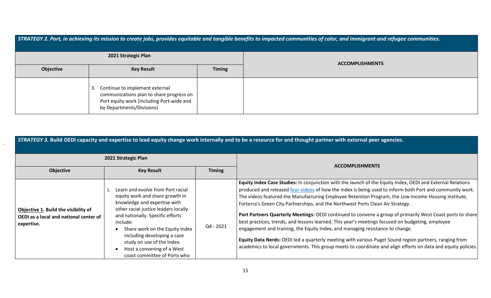| STRATEGY 2. Port, in achieving its mission to create jobs, provides equitable and tangible benefits to impacted communities of color, and immigrant and refugee communities. |                                                                                                                                                      |               |  |  |
|------------------------------------------------------------------------------------------------------------------------------------------------------------------------------|------------------------------------------------------------------------------------------------------------------------------------------------------|---------------|--|--|
| 2021 Strategic Plan<br><b>ACCOMPLISHMENTS</b>                                                                                                                                |                                                                                                                                                      |               |  |  |
| Objective                                                                                                                                                                    | <b>Key Result</b>                                                                                                                                    | <b>Timing</b> |  |  |
|                                                                                                                                                                              | Continue to implement external<br>communications plan to share progress on<br>Port equity work (including Port-wide and<br>by Departments/Divisions) |               |  |  |

| STRATEGY 3. Build OEDI capacity and expertise to lead equity change work internally and to be a resource for and thought partner with external peer agencies. |                                                                                                                                                                                                                                                                                                                                                           |               |                                                                                                                                                                                                                                                                                                                                                                                                                                                                                                                                                                                                                                                                                                                                                                                                                                                                                                                                                |  |
|---------------------------------------------------------------------------------------------------------------------------------------------------------------|-----------------------------------------------------------------------------------------------------------------------------------------------------------------------------------------------------------------------------------------------------------------------------------------------------------------------------------------------------------|---------------|------------------------------------------------------------------------------------------------------------------------------------------------------------------------------------------------------------------------------------------------------------------------------------------------------------------------------------------------------------------------------------------------------------------------------------------------------------------------------------------------------------------------------------------------------------------------------------------------------------------------------------------------------------------------------------------------------------------------------------------------------------------------------------------------------------------------------------------------------------------------------------------------------------------------------------------------|--|
| 2021 Strategic Plan                                                                                                                                           |                                                                                                                                                                                                                                                                                                                                                           |               |                                                                                                                                                                                                                                                                                                                                                                                                                                                                                                                                                                                                                                                                                                                                                                                                                                                                                                                                                |  |
| <b>Objective</b>                                                                                                                                              | <b>Key Result</b>                                                                                                                                                                                                                                                                                                                                         | <b>Timing</b> | <b>ACCOMPLISHMENTS</b>                                                                                                                                                                                                                                                                                                                                                                                                                                                                                                                                                                                                                                                                                                                                                                                                                                                                                                                         |  |
| Objective 1. Build the visibility of<br>OEDI as a local and national center of<br>expertise.                                                                  | Learn and evolve from Port racial<br>equity work and share growth in<br>knowledge and expertise with<br>other racial justice leaders locally<br>and nationally. Specific efforts<br>include:<br>Share work on the Equity Index<br>including developing a case<br>study on use of the Index.<br>Host a convening of a West<br>coast committee of Ports who | Q4 - 2021     | Equity Index Case Studies: In conjunction with the launch of the Equity Index, OEDI and External Relations<br>produced and released four videos of how the index is being used to inform both Port and community work.<br>The videos featured the Manufacturing Employee Retention Program, the Low-Income Housing Institute,<br>Forterra's Green City Partnerships, and the Northwest Ports Clean Air Strategy.<br>Port Partners Quarterly Meetings: OEDI continued to convene a group of primarily West Coast ports to share<br>best practices, trends, and lessons learned. This year's meetings focused on budgeting, employee<br>engagement and training, the Equity Index, and managing resistance to change.<br>Equity Data Nerds: OEDI led a quarterly meeting with various Puget Sound region partners, ranging from<br>academics to local governments. This group meets to coordinate and align efforts on data and equity policies. |  |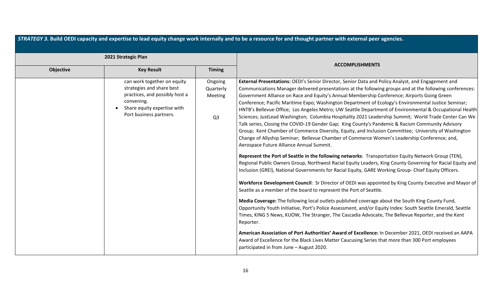| 2021 Strategic Plan                                                                                                                                                |                                                          |                                                                                                                                                                                                                                                                                                                                                                                                                                                                                                                                                                                                                                                                                                                                                                                                                                                                                                                                                                                                                                                                                                                                                                                                                                                                                                                                                                                                                                                                                                                                                                                                                                                                                                                                                                                                                                                                                                                                                                                                                                                                                                                |
|--------------------------------------------------------------------------------------------------------------------------------------------------------------------|----------------------------------------------------------|----------------------------------------------------------------------------------------------------------------------------------------------------------------------------------------------------------------------------------------------------------------------------------------------------------------------------------------------------------------------------------------------------------------------------------------------------------------------------------------------------------------------------------------------------------------------------------------------------------------------------------------------------------------------------------------------------------------------------------------------------------------------------------------------------------------------------------------------------------------------------------------------------------------------------------------------------------------------------------------------------------------------------------------------------------------------------------------------------------------------------------------------------------------------------------------------------------------------------------------------------------------------------------------------------------------------------------------------------------------------------------------------------------------------------------------------------------------------------------------------------------------------------------------------------------------------------------------------------------------------------------------------------------------------------------------------------------------------------------------------------------------------------------------------------------------------------------------------------------------------------------------------------------------------------------------------------------------------------------------------------------------------------------------------------------------------------------------------------------------|
| Objective<br><b>Key Result</b>                                                                                                                                     | <b>Timing</b>                                            | <b>ACCOMPLISHMENTS</b>                                                                                                                                                                                                                                                                                                                                                                                                                                                                                                                                                                                                                                                                                                                                                                                                                                                                                                                                                                                                                                                                                                                                                                                                                                                                                                                                                                                                                                                                                                                                                                                                                                                                                                                                                                                                                                                                                                                                                                                                                                                                                         |
| can work together on equity<br>strategies and share best<br>practices, and possibly host a<br>convening.<br>Share equity expertise with<br>Port business partners. | Ongoing<br>Quarterly<br><b>Meeting</b><br>Q <sub>3</sub> | External Presentations: OEDI's Senior Director, Senior Data and Policy Analyst, and Engagement and<br>Communications Manager delivered presentations at the following groups and at the following conferences:<br>Government Alliance on Race and Equity's Annual Membership Conference; Airports Going Green<br>Conference; Pacific Maritime Expo; Washington Department of Ecology's Environmental Justice Seminar;<br>HNTB's Bellevue Office; Los Angeles Metro; UW Seattle Department of Environmental & Occupational Health<br>Sciences; JustLead Washington; Columbia Hospitality 2021 Leadership Summit; World Trade Center Can We<br>Talk series, Closing the COVID-19 Gender Gap; King County's Pandemic & Racism Community Advisory<br>Group; Kent Chamber of Commerce Diversity, Equity, and Inclusion Committee; University of Washington<br>Change of Allyship Seminar; Bellevue Chamber of Commerce Women's Leadership Conference; and,<br>Aerospace Future Alliance Annual Summit.<br>Represent the Port of Seattle in the following networks: Transportation Equity Network Group (TEN),<br>Regional Public Owners Group, Northwest Racial Equity Leaders, King County Governing for Racial Equity and<br>Inclusion (GREI), National Governments for Racial Equity, GARE Working Group-Chief Equity Officers.<br>Workforce Development Council: Sr Director of OEDI was appointed by King County Executive and Mayor of<br>Seattle as a member of the board to represent the Port of Seattle.<br>Media Coverage: The following local outlets published coverage about the South King County Fund,<br>Opportunity Youth Initiative, Port's Police Assessment, and/or Equity Index: South Seattle Emerald, Seattle<br>Times, KING 5 News, KUOW, The Stranger, The Cascadia Advocate, The Bellevue Reporter, and the Kent<br>Reporter.<br>American Association of Port Authorities' Award of Excellence: In December 2021, OEDI received an AAPA<br>Award of Excellence for the Black Lives Matter Caucusing Series that more than 300 Port employees<br>participated in from June - August 2020. |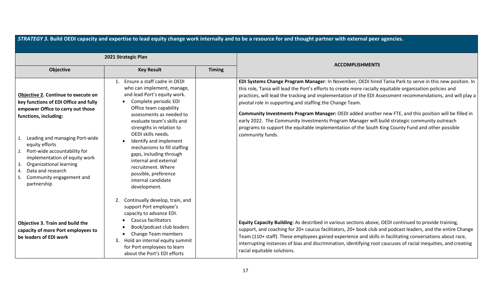| STRATEGY 3. Build OEDI capacity and expertise to lead equity change work internally and to be a resource for and thought partner with external peer agencies.                                                                                                                                                                                                                            |                                                                                                                                                                                                                                                                                                                                                                                                                                                                               |               |                                                                                                                                                                                                                                                                                                                                                                                                                                                                                                                                                                                                                                                                                                                                      |  |
|------------------------------------------------------------------------------------------------------------------------------------------------------------------------------------------------------------------------------------------------------------------------------------------------------------------------------------------------------------------------------------------|-------------------------------------------------------------------------------------------------------------------------------------------------------------------------------------------------------------------------------------------------------------------------------------------------------------------------------------------------------------------------------------------------------------------------------------------------------------------------------|---------------|--------------------------------------------------------------------------------------------------------------------------------------------------------------------------------------------------------------------------------------------------------------------------------------------------------------------------------------------------------------------------------------------------------------------------------------------------------------------------------------------------------------------------------------------------------------------------------------------------------------------------------------------------------------------------------------------------------------------------------------|--|
| 2021 Strategic Plan                                                                                                                                                                                                                                                                                                                                                                      |                                                                                                                                                                                                                                                                                                                                                                                                                                                                               |               |                                                                                                                                                                                                                                                                                                                                                                                                                                                                                                                                                                                                                                                                                                                                      |  |
| Objective                                                                                                                                                                                                                                                                                                                                                                                | <b>Key Result</b>                                                                                                                                                                                                                                                                                                                                                                                                                                                             | <b>Timing</b> | <b>ACCOMPLISHMENTS</b>                                                                                                                                                                                                                                                                                                                                                                                                                                                                                                                                                                                                                                                                                                               |  |
| Objective 2. Continue to execute on<br>key functions of EDI Office and fully<br>empower Office to carry out those<br>functions, including:<br>Leading and managing Port-wide<br>1.<br>equity efforts<br>Port-wide accountability for<br>2.<br>implementation of equity work<br>Organizational learning<br>3.<br>Data and research<br>4.<br>Community engagement and<br>5.<br>partnership | Ensure a staff cadre in OEDI<br>1.<br>who can implement, manage,<br>and lead Port's equity work.<br>Complete periodic EDI<br>$\bullet$<br>Office team capability<br>assessments as needed to<br>evaluate team's skills and<br>strengths in relation to<br>OEDI skills needs.<br>Identify and implement<br>mechanisms to fill staffing<br>gaps, including through<br>internal and external<br>recruitment. Where<br>possible, preference<br>internal candidate<br>development. |               | EDI Systems Change Program Manager: In November, OEDI hired Tania Park to serve in this new position. In<br>this role, Tania will lead the Port's efforts to create more racially equitable organization policies and<br>practices, will lead the tracking and implementation of the EDI Assessment recommendations, and will play a<br>pivotal role in supporting and staffing the Change Team.<br>Community Investments Program Manager: OEDI added another new FTE, and this position will be filled in<br>early 2022. The Community Investments Program Manager will build strategic community outreach<br>programs to support the equitable implementation of the South King County Fund and other possible<br>community funds. |  |
| Objective 3. Train and build the<br>capacity of more Port employees to<br>be leaders of EDI work                                                                                                                                                                                                                                                                                         | Continually develop, train, and<br>2.<br>support Port employee's<br>capacity to advance EDI.<br><b>Caucus facilitators</b><br>Book/podcast club leaders<br>Change Team members<br>3. Hold an internal equity summit<br>for Port employees to learn<br>about the Port's EDI efforts                                                                                                                                                                                            |               | Equity Capacity Building: As described in various sections above, OEDI continued to provide training,<br>support, and coaching for 20+ caucus facilitators, 20+ book club and podcast leaders, and the entire Change<br>Team (110+ staff). These employees gained experience and skills in facilitating conversations about race,<br>interrupting instances of bias and discrimination, identifying root caucuses of racial inequities, and creating<br>racial equitable solutions.                                                                                                                                                                                                                                                  |  |